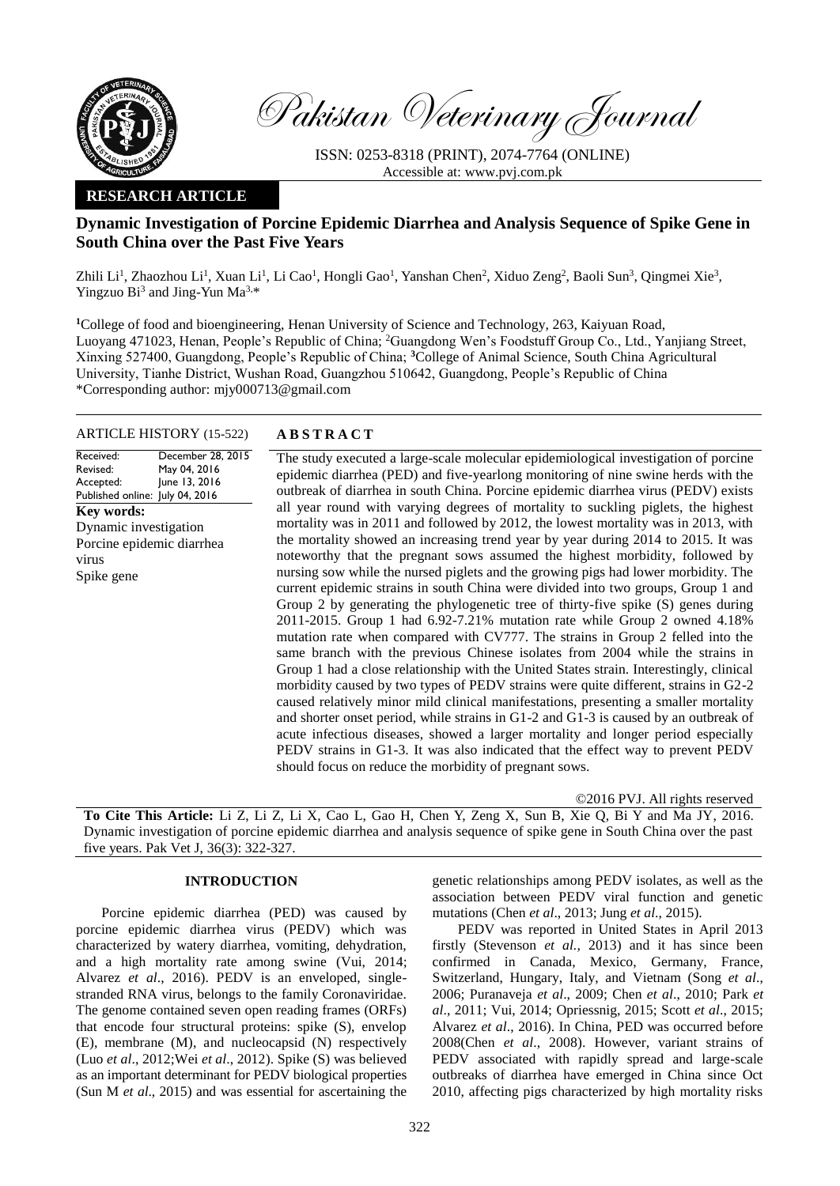

Pakistan Veterinary Journal

ISSN: 0253-8318 (PRINT), 2074-7764 (ONLINE) Accessible at: [www.pvj.com.pk](http://www.pvj.com.pk/)

# **RESEARCH ARTICLE**

# **Dynamic Investigation of Porcine Epidemic Diarrhea and Analysis Sequence of Spike Gene in South China over the Past Five Years**

Zhili Li<sup>1</sup>, Zhaozhou Li<sup>1</sup>, Xuan Li<sup>1</sup>, Li Cao<sup>1</sup>, Hongli Gao<sup>1</sup>, Yanshan Chen<sup>2</sup>, Xiduo Zeng<sup>2</sup>, Baoli Sun<sup>3</sup>, Qingmei Xie<sup>3</sup>, Yingzuo  $Bi^3$  and Jing-Yun Ma<sup>3,\*</sup>

<sup>1</sup>College of food and bioengineering, Henan University of Science and Technology, 263, Kaiyuan Road, Luoyang 471023, Henan, People's Republic of China; <sup>2</sup>Guangdong Wen's Foodstuff Group Co., Ltd., Yanjiang Street, Xinxing 527400, Guangdong, People's Republic of China; **<sup>3</sup>**College of Animal Science, South China Agricultural University, Tianhe District, Wushan Road, Guangzhou 510642, Guangdong, People's Republic of China \*Corresponding author: mjy000713@gmail.com

## ARTICLE HISTORY (15-522) **A B S T R A C T**

Received: Revised: Accepted: Published online: July 04, 2016 December 28, 2015 May 04, 2016 June 13, 2016 **Key words:**  Dynamic investigation Porcine epidemic diarrhea virus Spike gene

The study executed a large-scale molecular epidemiological investigation of porcine epidemic diarrhea (PED) and five-yearlong monitoring of nine swine herds with the outbreak of diarrhea in south China. Porcine epidemic diarrhea virus (PEDV) exists all year round with varying degrees of mortality to suckling piglets, the highest mortality was in 2011 and followed by 2012, the lowest mortality was in 2013, with the mortality showed an increasing trend year by year during 2014 to 2015. It was noteworthy that the pregnant sows assumed the highest morbidity, followed by nursing sow while the nursed piglets and the growing pigs had lower morbidity. The current epidemic strains in south China were divided into two groups, Group 1 and Group 2 by generating the phylogenetic tree of thirty-five spike (S) genes during 2011-2015. Group 1 had 6.92-7.21% mutation rate while Group 2 owned 4.18% mutation rate when compared with CV777. The strains in Group 2 felled into the same branch with the previous Chinese isolates from 2004 while the strains in Group 1 had a close relationship with the United States strain. Interestingly, clinical morbidity caused by two types of PEDV strains were quite different, strains in G2-2 caused relatively minor mild clinical manifestations, presenting a smaller mortality and shorter onset period, while strains in G1-2 and G1-3 is caused by an outbreak of acute infectious diseases, showed a larger mortality and longer period especially PEDV strains in G1-3. It was also indicated that the effect way to prevent PEDV should focus on reduce the morbidity of pregnant sows.

©2016 PVJ. All rights reserved

**To Cite This Article:** Li Z, Li Z, Li X, Cao L, Gao H, Chen Y, Zeng X, Sun B, Xie Q, Bi Y and Ma JY, 2016. Dynamic investigation of porcine epidemic diarrhea and analysis sequence of spike gene in South China over the past five years. Pak Vet J, 36(3): 322-327.

# **INTRODUCTION**

Porcine epidemic diarrhea (PED) was caused by porcine epidemic diarrhea virus (PEDV) which was characterized by watery diarrhea, vomiting, dehydration, and a high mortality rate among swine (Vui, 2014; [Alvarez](http://www.ncbi.nlm.nih.gov/pubmed/?term=Alvarez%20J%5BAuthor%5D&cauthor=true&cauthor_uid=26586344) *et al*., 2016). PEDV is an enveloped, singlestranded RNA virus, belongs to the family Coronaviridae. The genome contained seven open reading frames (ORFs) that encode four structural proteins: spike (S), envelop (E), membrane (M), and nucleocapsid (N) respectively (Luo *et al*., 2012;Wei *et al*., 2012). Spike (S) was believed as an important determinant for PEDV biological properties [\(Sun M](http://www.ncbi.nlm.nih.gov/pubmed/?term=Sun%20M%5BAuthor%5D&cauthor=true&cauthor_uid=25694517) *et al*., 2015) and was essential for ascertaining the genetic relationships among PEDV isolates, as well as the association between PEDV viral function and genetic mutations (Chen *et al*., 2013; Jung *et al*., 2015).

PEDV was reported in United States in April 2013 firstly (Stevenson *et al.,* 2013) and it has since been confirmed in Canada, Mexico, Germany, France, Switzerland, Hungary, Italy, and Vietnam (Song *et al*., 2006; Puranaveja *et al*., 2009; Chen *et al*., 2010; Park *et al*., 2011; Vui, 2014; [Opriessnig,](http://www.ncbi.nlm.nih.gov/pubmed/?term=Opriessnig%20T%5BAuthor%5D&cauthor=true&cauthor_uid=25913224) 2015; [Scott](http://www.ncbi.nlm.nih.gov/pubmed/?term=Scott%20A%5BAuthor%5D&cauthor=true&cauthor_uid=26711302) *et al*., 2015; [Alvarez](http://www.ncbi.nlm.nih.gov/pubmed/?term=Alvarez%20J%5BAuthor%5D&cauthor=true&cauthor_uid=26586344) *et al*., 2016). In China, PED was occurred before 2008(Chen *et al*., 2008). However, variant strains of PEDV associated with rapidly spread and large-scale outbreaks of diarrhea have emerged in China since Oct 2010, affecting pigs characterized by high mortality risks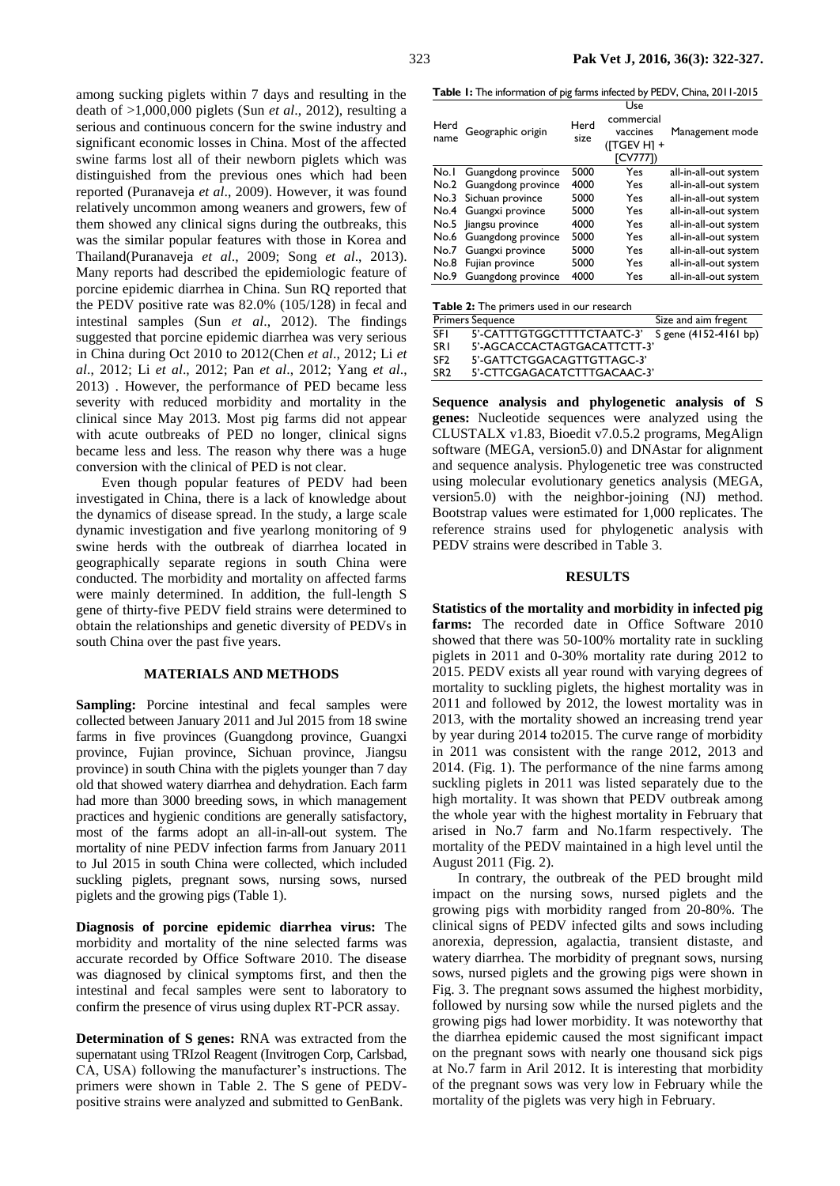among sucking piglets within 7 days and resulting in the death of >1,000,000 piglets (Sun *et al*., 2012), resulting a serious and continuous concern for the swine industry and significant economic losses in China. Most of the affected swine farms lost all of their newborn piglets which was distinguished from the previous ones which had been reported (Puranaveja *et al*., 2009). However, it was found relatively uncommon among weaners and growers, few of them showed any clinical signs during the outbreaks, this was the similar popular features with those in Korea and Thailand(Puranaveja *et al*., 2009; Song *et al*., 2013). Many reports had described the epidemiologic feature of porcine epidemic diarrhea in China. Sun RQ reported that the PEDV positive rate was 82.0% (105/128) in fecal and intestinal samples (Sun *et al*., 2012). The findings suggested that porcine epidemic diarrhea was very serious in China during Oct 2010 to 2012(Chen *et al*., 2012; Li *et al*., 2012; Li *et al*., 2012; Pan *et al*., 2012; Yang *et al*., 2013) . However, the performance of PED became less severity with reduced morbidity and mortality in the clinical since May 2013. Most pig farms did not appear with acute outbreaks of PED no longer, clinical signs became less and less. The reason why there was a huge conversion with the clinical of PED is not clear.

Even though popular features of PEDV had been investigated in China, there is a lack of knowledge about the dynamics of disease spread. In the study, a large scale dynamic investigation and five yearlong monitoring of 9 swine herds with the outbreak of diarrhea located in geographically separate regions in south China were conducted. The morbidity and mortality on affected farms were mainly determined. In addition, the full-length S gene of thirty-five PEDV field strains were determined to obtain the relationships and genetic diversity of PEDVs in south China over the past five years.

#### **MATERIALS AND METHODS**

Sampling: Porcine intestinal and fecal samples were collected between January 2011 and Jul 2015 from 18 swine farms in five provinces (Guangdong province, Guangxi province, Fujian province, Sichuan province, Jiangsu province) in south China with the piglets younger than 7 day old that showed watery diarrhea and dehydration. Each farm had more than 3000 breeding sows, in which management practices and hygienic conditions are generally satisfactory, most of the farms adopt an all-in-all-out system. The mortality of nine PEDV infection farms from January 2011 to Jul 2015 in south China were collected, which included suckling piglets, pregnant sows, nursing sows, nursed piglets and the growing pigs (Table 1).

**Diagnosis of porcine epidemic diarrhea virus:** The morbidity and mortality of the nine selected farms was accurate recorded by Office Software 2010. The disease was diagnosed by clinical symptoms first, and then the intestinal and fecal samples were sent to laboratory to confirm the presence of virus using duplex RT-PCR assay.

**Determination of S genes:** RNA was extracted from the supernatant using TRIzol Reagent (Invitrogen Corp, Carlsbad, CA, USA) following the manufacturer's instructions. The primers were shown in Table 2. The S gene of PEDVpositive strains were analyzed and submitted to GenBank.

**Table 1:** The information of pig farms infected by PEDV, China, 2011-2015

| Herd<br>name                              | Geographic origin       | Herd<br>size | Use<br>commercial<br>vaccines<br>(ITGEV H1 +<br>$\Gamma$ CV777]) | Management mode       |  |  |  |  |
|-------------------------------------------|-------------------------|--------------|------------------------------------------------------------------|-----------------------|--|--|--|--|
|                                           | No.1 Guangdong province | 5000         | Yes                                                              | all-in-all-out system |  |  |  |  |
|                                           | No.2 Guangdong province | 4000         | Yes                                                              | all-in-all-out system |  |  |  |  |
|                                           | No.3 Sichuan province   | 5000         | Yes                                                              | all-in-all-out system |  |  |  |  |
|                                           | No.4 Guangxi province   | 5000         | Yes                                                              | all-in-all-out system |  |  |  |  |
| No.5                                      | liangsu province        | 4000         | Yes                                                              | all-in-all-out system |  |  |  |  |
| No.6                                      | Guangdong province      | 5000         | Yes                                                              | all-in-all-out system |  |  |  |  |
| No.7                                      | Guangxi province        | 5000         | Yes                                                              | all-in-all-out system |  |  |  |  |
| No.8                                      | Fujian province         | 5000         | Yes                                                              | all-in-all-out system |  |  |  |  |
| No.9                                      | Guangdong province      | 4000         | Yes                                                              | all-in-all-out system |  |  |  |  |
| Table 2: The primers used in our research |                         |              |                                                                  |                       |  |  |  |  |

|                 | <b>Primers Sequence</b>                          | Size and aim fregent |  |  |
|-----------------|--------------------------------------------------|----------------------|--|--|
| -SEL            | 5'-CATTTGTGGCTTTTCTAATC-3' S gene (4152-4161 bp) |                      |  |  |
| <b>SRI</b>      | 5'-AGCACCACTAGTGACATTCTT-3'                      |                      |  |  |
| SF <sub>2</sub> | 5'-GATTCTGGACAGTTGTTAGC-3'                       |                      |  |  |
| SR <sub>2</sub> | 5'-CTTCGAGACATCTTTGACAAC-3'                      |                      |  |  |

**Sequence analysis and phylogenetic analysis of S genes:** Nucleotide sequences were analyzed using the CLUSTALX v1.83, Bioedit v7.0.5.2 programs, MegAlign software (MEGA, version5.0) and DNAstar for alignment and sequence analysis. Phylogenetic tree was constructed using molecular evolutionary genetics analysis (MEGA, version5.0) with the neighbor-joining (NJ) method. Bootstrap values were estimated for 1,000 replicates. The reference strains used for phylogenetic analysis with PEDV strains were described in Table 3.

### **RESULTS**

**Statistics of the mortality and morbidity in infected pig**  farms: The recorded date in Office Software 2010 showed that there was 50-100% mortality rate in suckling piglets in 2011 and 0-30% mortality rate during 2012 to 2015. PEDV exists all year round with varying degrees of mortality to suckling piglets, the highest mortality was in 2011 and followed by 2012, the lowest mortality was in 2013, with the mortality showed an increasing trend year by year during 2014 to2015. The curve range of morbidity in 2011 was consistent with the range 2012, 2013 and 2014. (Fig. 1). The performance of the nine farms among suckling piglets in 2011 was listed separately due to the high mortality. It was shown that PEDV outbreak among the whole year with the highest mortality in February that arised in No.7 farm and No.1farm respectively. The mortality of the PEDV maintained in a high level until the August 2011 (Fig. 2).

In contrary, the outbreak of the PED brought mild impact on the nursing sows, nursed piglets and the growing pigs with morbidity ranged from 20-80%. The clinical signs of PEDV infected gilts and sows including anorexia, depression, agalactia, transient distaste, and watery diarrhea. The morbidity of pregnant sows, nursing sows, nursed piglets and the growing pigs were shown in Fig. 3. The pregnant sows assumed the highest morbidity, followed by nursing sow while the nursed piglets and the growing pigs had lower morbidity. It was noteworthy that the diarrhea epidemic caused the most significant impact on the pregnant sows with nearly one thousand sick pigs at No.7 farm in Aril 2012. It is interesting that morbidity of the pregnant sows was very low in February while the mortality of the piglets was very high in February.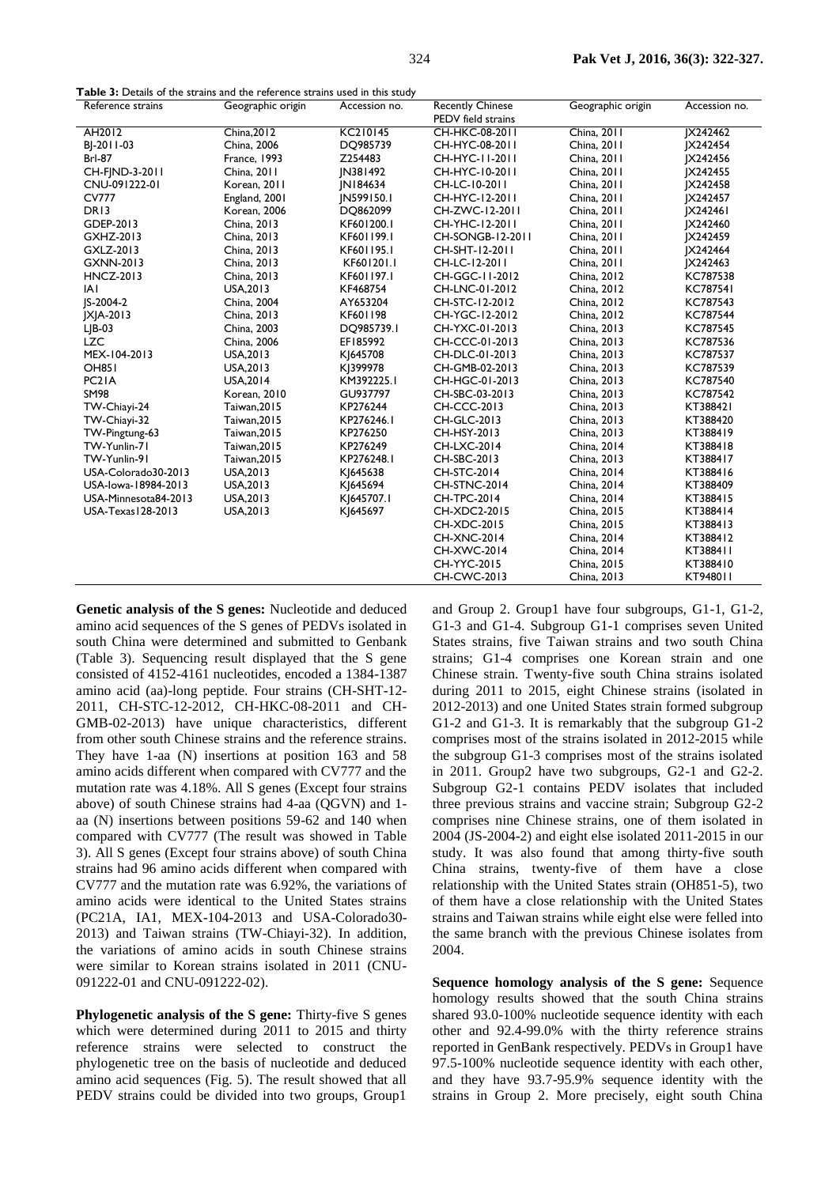| <b>Table 3:</b> Details of the strains and the reference strains used in this study |  |
|-------------------------------------------------------------------------------------|--|
|-------------------------------------------------------------------------------------|--|

| Reference strains    | <b>. abic 3.</b> Details of the strains and the reicremed strains ascumi this study<br>Geographic origin | Accession no. | <b>Recently Chinese</b>              | Geographic origin | Accession no.   |
|----------------------|----------------------------------------------------------------------------------------------------------|---------------|--------------------------------------|-------------------|-----------------|
| AH2012               | China, 2012                                                                                              | KC210145      | PEDV field strains<br>CH-HKC-08-2011 | China, 2011       | IX242462        |
| BI-2011-03           | China, 2006                                                                                              | DQ985739      | CH-HYC-08-2011                       | China, 2011       | IX242454        |
| <b>Brl-87</b>        |                                                                                                          |               |                                      |                   |                 |
|                      | France, 1993                                                                                             | Z254483       | CH-HYC-11-2011                       | China, 2011       | IX242456        |
| CH-FIND-3-2011       | China, 2011                                                                                              | JN381492      | CH-HYC-10-2011                       | China, 2011       | <b>X242455</b>  |
| CNU-091222-01        | Korean, 2011                                                                                             | IN184634      | CH-LC-10-2011                        | China, 2011       | IX242458        |
| <b>CV777</b>         | England, 2001                                                                                            | IN599150.1    | CH-HYC-12-2011                       | China, 2011       | IX242457        |
| DR13                 | Korean, 2006                                                                                             | DQ862099      | CH-ZWC-12-2011                       | China, 2011       | <b>IX242461</b> |
| GDEP-2013            | China, 2013                                                                                              | KF601200.1    | CH-YHC-12-2011                       | China, 2011       | JX242460        |
| GXHZ-2013            | China, 2013                                                                                              | KF601199.1    | CH-SONGB-12-2011                     | China, 2011       | IX242459        |
| GXLZ-2013            | China, 2013                                                                                              | KF601195.1    | CH-SHT-12-2011                       | China, 2011       | IX242464        |
| <b>GXNN-2013</b>     | China, 2013                                                                                              | KF601201.1    | CH-LC-12-2011                        | China, 2011       | IX242463        |
| <b>HNCZ-2013</b>     | China, 2013                                                                                              | KF601197.1    | CH-GGC-11-2012                       | China, 2012       | KC787538        |
| IAI                  | USA, 2013                                                                                                | KF468754      | CH-LNC-01-2012                       | China, 2012       | <b>KC787541</b> |
| IS-2004-2            | China, 2004                                                                                              | AY653204      | CH-STC-12-2012                       | China, 2012       | KC787543        |
| $ X $ A-2013         | China, 2013                                                                                              | KF601198      | CH-YGC-12-2012                       | China, 2012       | KC787544        |
| $L$ $B$ -03          | China, 2003                                                                                              | DQ985739.1    | CH-YXC-01-2013                       | China, 2013       | KC787545        |
| <b>LZC</b>           | China, 2006                                                                                              | EF185992      | CH-CCC-01-2013                       | China, 2013       | KC787536        |
| MEX-104-2013         | USA, 2013                                                                                                | KI645708      | CH-DLC-01-2013                       | China, 2013       | KC787537        |
| <b>OH851</b>         | USA.2013                                                                                                 | KI399978      | CH-GMB-02-2013                       | China, 2013       | KC787539        |
| PC <sub>2</sub> IA   | USA, 2014                                                                                                | KM392225.1    | CH-HGC-01-2013                       | China, 2013       | KC787540        |
| <b>SM98</b>          | Korean, 2010                                                                                             | GU937797      | CH-SBC-03-2013                       | China, 2013       | KC787542        |
| TW-Chiayi-24         | Taiwan, 2015                                                                                             | KP276244      | CH-CCC-2013                          | China, 2013       | KT388421        |
| TW-Chiayi-32         | Taiwan, 2015                                                                                             | KP276246.1    | <b>CH-GLC-2013</b>                   | China, 2013       | KT388420        |
| TW-Pingtung-63       | Taiwan, 2015                                                                                             | KP276250      | CH-HSY-2013                          | China, 2013       | KT388419        |
| TW-Yunlin-71         | Taiwan, 2015                                                                                             | KP276249      | CH-LXC-2014                          | China, 2014       | KT388418        |
| TW-Yunlin-91         | Taiwan, 2015                                                                                             | KP276248.1    | CH-SBC-2013                          | China, 2013       | KT388417        |
| USA-Colorado30-2013  | USA, 2013                                                                                                | KJ645638      | <b>CH-STC-2014</b>                   | China, 2014       | KT388416        |
| USA-lowa-18984-2013  | USA, 2013                                                                                                | KI645694      | <b>CH-STNC-2014</b>                  | China, 2014       | KT388409        |
| USA-Minnesota84-2013 | USA, 2013                                                                                                | KI645707.1    | CH-TPC-2014                          | China, 2014       | KT388415        |
| USA-Texas   28-2013  | USA, 2013                                                                                                | KI645697      | CH-XDC2-2015                         | China, 2015       | KT388414        |
|                      |                                                                                                          |               | CH-XDC-2015                          | China, 2015       | KT388413        |
|                      |                                                                                                          |               | <b>CH-XNC-2014</b>                   | China, 2014       | KT388412        |
|                      |                                                                                                          |               | <b>CH-XWC-2014</b>                   | China, 2014       | KT388411        |
|                      |                                                                                                          |               | CH-YYC-2015                          | China, 2015       | KT388410        |
|                      |                                                                                                          |               | <b>CH-CWC-2013</b>                   | China, 2013       | KT948011        |

**Genetic analysis of the S genes:** Nucleotide and deduced amino acid sequences of the S genes of PEDVs isolated in south China were determined and submitted to Genbank (Table 3). Sequencing result displayed that the S gene consisted of 4152-4161 nucleotides, encoded a 1384-1387 amino acid (aa)-long peptide. Four strains (CH-SHT-12- 2011, CH-STC-12-2012, CH-HKC-08-2011 and CH-GMB-02-2013) have unique characteristics, different from other south Chinese strains and the reference strains. They have 1-aa (N) insertions at position 163 and 58 amino acids different when compared with CV777 and the mutation rate was 4.18%. All S genes (Except four strains above) of south Chinese strains had 4-aa (QGVN) and 1 aa (N) insertions between positions 59-62 and 140 when compared with CV777 (The result was showed in Table 3). All S genes (Except four strains above) of south China strains had 96 amino acids different when compared with CV777 and the mutation rate was 6.92%, the variations of amino acids were identical to the United States strains (PC21A, IA1, MEX-104-2013 and USA-Colorado30- 2013) and Taiwan strains (TW-Chiayi-32). In addition, the variations of amino acids in south Chinese strains were similar to Korean strains isolated in 2011 (CNU-091222-01 and CNU-091222-02).

**Phylogenetic analysis of the S gene:** Thirty-five S genes which were determined during 2011 to 2015 and thirty reference strains were selected to construct the phylogenetic tree on the basis of nucleotide and deduced amino acid sequences (Fig. 5). The result showed that all PEDV strains could be divided into two groups, Group1

and Group 2. Group1 have four subgroups, G1-1, G1-2, G1-3 and G1-4. Subgroup G1-1 comprises seven United States strains, five Taiwan strains and two south China strains; G1-4 comprises one Korean strain and one Chinese strain. Twenty-five south China strains isolated during 2011 to 2015, eight Chinese strains (isolated in 2012-2013) and one United States strain formed subgroup G1-2 and G1-3. It is remarkably that the subgroup G1-2 comprises most of the strains isolated in 2012-2015 while the subgroup G1-3 comprises most of the strains isolated in 2011. Group2 have two subgroups, G2-1 and G2-2. Subgroup G2-1 contains PEDV isolates that included three previous strains and vaccine strain; Subgroup G2-2 comprises nine Chinese strains, one of them isolated in 2004 (JS-2004-2) and eight else isolated 2011-2015 in our study. It was also found that among thirty-five south China strains, twenty-five of them have a close relationship with the United States strain (OH851-5), two of them have a close relationship with the United States strains and Taiwan strains while eight else were felled into the same branch with the previous Chinese isolates from 2004.

**Sequence homology analysis of the S gene:** Sequence homology results showed that the south China strains shared 93.0-100% nucleotide sequence identity with each other and 92.4-99.0% with the thirty reference strains reported in GenBank respectively. PEDVs in Group1 have 97.5-100% nucleotide sequence identity with each other, and they have 93.7-95.9% sequence identity with the strains in Group 2. More precisely, eight south China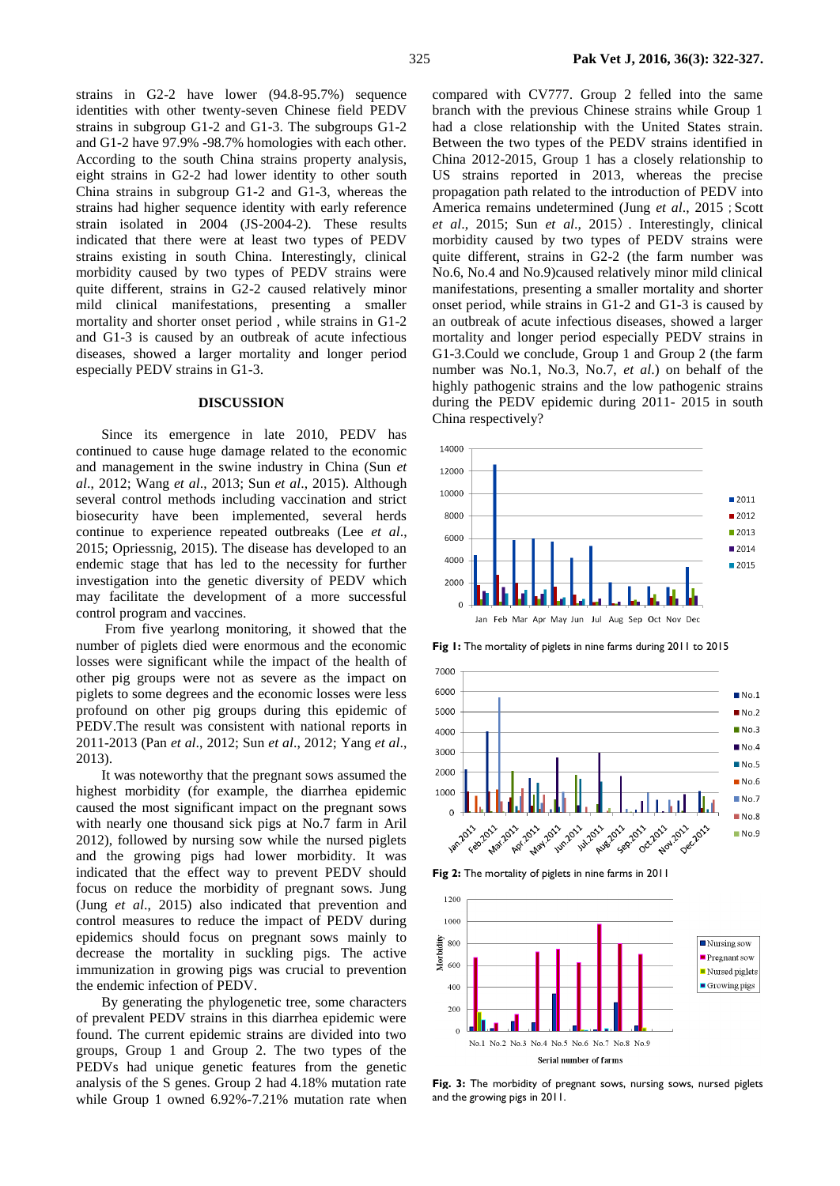strains in subgroup G1-2 and G1-3. The subgroups G1-2 and G1-2 have 97.9% -98.7% homologies with each other. According to the south China strains property analysis, eight strains in G2-2 had lower identity to other south China strains in subgroup G1-2 and G1-3, whereas the strains had higher sequence identity with early reference strain isolated in 2004 (JS-2004-2). These results indicated that there were at least two types of PEDV strains existing in south China. Interestingly, clinical morbidity caused by two types of PEDV strains were quite different, strains in G2-2 caused relatively minor mild clinical manifestations, presenting a smaller mortality and shorter onset period , while strains in G1-2 and G1-3 is caused by an outbreak of acute infectious diseases, showed a larger mortality and longer period especially PEDV strains in G1-3.

#### **DISCUSSION**

Since its emergence in late 2010, PEDV has continued to cause huge damage related to the economic and management in the swine industry in China (Sun *et al*., 2012; Wang *et al*., 2013; [Sun](http://www.ncbi.nlm.nih.gov/pubmed/?term=Sun%20M%5BAuthor%5D&cauthor=true&cauthor_uid=25694517) *et al*., 2015). Although several control methods including vaccination and strict biosecurity have been implemented, several herds continue to experience repeated outbreaks (Lee *[et al](http://www.ncbi.nlm.nih.gov/pubmed/?term=Lee%20C%5BAuthor%5D&cauthor=true&cauthor_uid=26689811)*., 2015; [Opriessnig, 2](http://www.ncbi.nlm.nih.gov/pubmed/?term=Opriessnig%20T%5BAuthor%5D&cauthor=true&cauthor_uid=25913224)015). The disease has developed to an endemic stage that has led to the necessity for further investigation into the genetic diversity of PEDV which may facilitate the development of a more successful control program and vaccines.

From five yearlong monitoring, it showed that the number of piglets died were enormous and the economic losses were significant while the impact of the health of other pig groups were not as severe as the impact on piglets to some degrees and the economic losses were less profound on other pig groups during this epidemic of PEDV.The result was consistent with national reports in 2011-2013 (Pan *et al*., 2012; Sun *et al*., 2012; Yang *et al*., 2013).

It was noteworthy that the pregnant sows assumed the highest morbidity (for example, the diarrhea epidemic caused the most significant impact on the pregnant sows with nearly one thousand sick pigs at No.7 farm in Aril 2012), followed by nursing sow while the nursed piglets and the growing pigs had lower morbidity. It was indicated that the effect way to prevent PEDV should focus on reduce the morbidity of pregnant sows. Jung (Jung *et al*., 2015) also indicated that prevention and control measures to reduce the impact of PEDV during epidemics should focus on pregnant sows mainly to decrease the mortality in suckling pigs. The active immunization in growing pigs was crucial to prevention the endemic infection of PEDV.

By generating the phylogenetic tree, some characters of prevalent PEDV strains in this diarrhea epidemic were found. The current epidemic strains are divided into two groups, Group 1 and Group 2. The two types of the PEDVs had unique genetic features from the genetic analysis of the S genes. Group 2 had 4.18% mutation rate while Group 1 owned 6.92%-7.21% mutation rate when

compared with CV777. Group 2 felled into the same branch with the previous Chinese strains while Group 1 had a close relationship with the United States strain. Between the two types of the PEDV strains identified in China 2012-2015, Group 1 has a closely relationship to US strains reported in 2013, whereas the precise propagation path related to the introduction of PEDV into America remains undetermined (Jung *et al.*, 2015; Scott *et al*., 2015; [Sun](http://www.ncbi.nlm.nih.gov/pubmed/?term=Sun%20M%5BAuthor%5D&cauthor=true&cauthor_uid=25694517) *et al*., 2015). Interestingly, clinical morbidity caused by two types of PEDV strains were quite different, strains in G2-2 (the farm number was No.6, No.4 and No.9)caused relatively minor mild clinical manifestations, presenting a smaller mortality and shorter onset period, while strains in G1-2 and G1-3 is caused by an outbreak of acute infectious diseases, showed a larger mortality and longer period especially PEDV strains in G1-3.Could we conclude, Group 1 and Group 2 (the farm number was No.1, No.3, No.7, *et al*.) on behalf of the highly pathogenic strains and the low pathogenic strains during the PEDV epidemic during 2011- 2015 in south China respectively?



**Fig 1:** The mortality of piglets in nine farms during 2011 to 2015



**Fig 2:** The mortality of piglets in nine farms in 2011



Fig. 3: The morbidity of pregnant sows, nursing sows, nursed piglets and the growing pigs in 2011.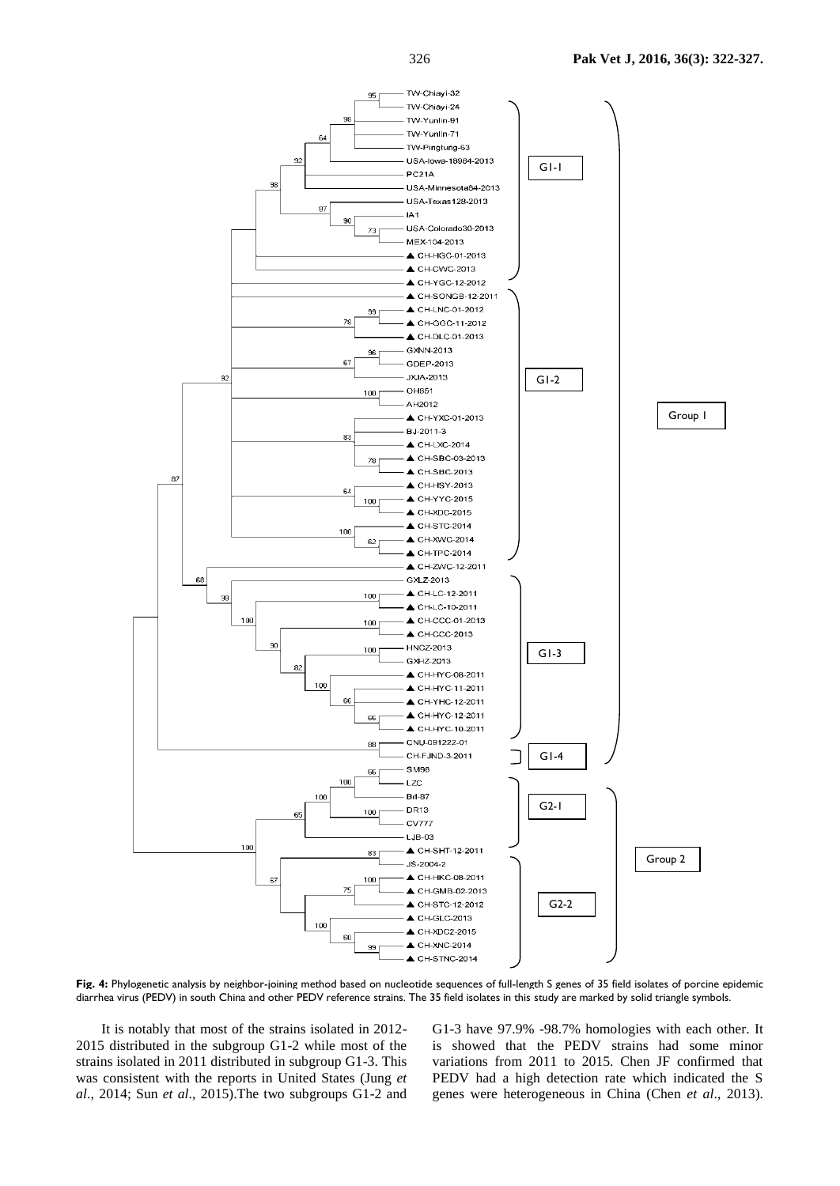

**Fig. 4:** Phylogenetic analysis by neighbor-joining method based on nucleotide sequences of full-length S genes of 35 field isolates of porcine epidemic diarrhea virus (PEDV) in south China and other PEDV reference strains. The 35 field isolates in this study are marked by solid triangle symbols.

It is notably that most of the strains isolated in 2012- 2015 distributed in the subgroup G1-2 while most of the strains isolated in 2011 distributed in subgroup G1-3. This was consistent with the reports in United States (Jung *et al*., 2014; [Sun](http://www.ncbi.nlm.nih.gov/pubmed/?term=Sun%20M%5BAuthor%5D&cauthor=true&cauthor_uid=25694517) *et al*., 2015).The two subgroups G1-2 and

G1-3 have 97.9% -98.7% homologies with each other. It is showed that the PEDV strains had some minor variations from 2011 to 2015. Chen JF confirmed that PEDV had a high detection rate which indicated the S genes were heterogeneous in China (Chen *et al*., 2013).